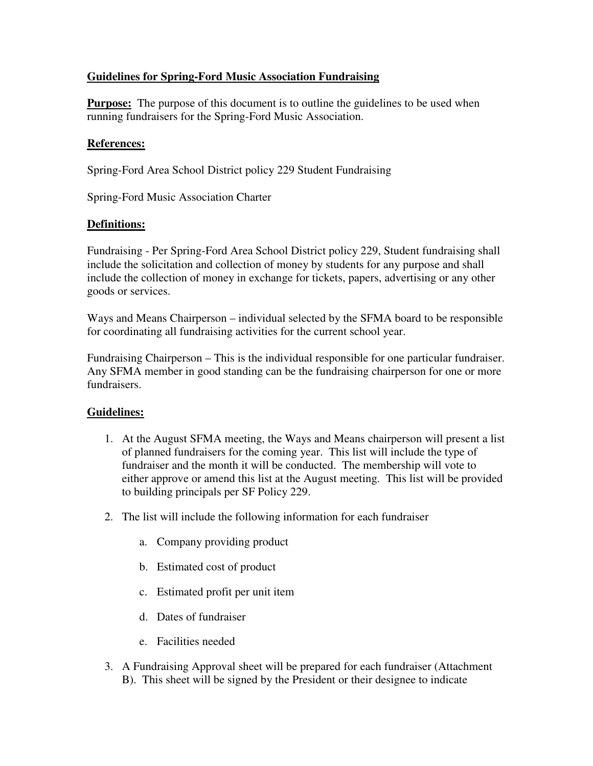## **Guidelines for Spring-Ford Music Association Fundraising**

**Purpose:** The purpose of this document is to outline the guidelines to be used when running fundraisers for the Spring-Ford Music Association.

## **References:**

Spring-Ford Area School District policy 229 Student Fundraising

Spring-Ford Music Association Charter

## **Definitions:**

Fundraising - Per Spring-Ford Area School District policy 229, Student fundraising shall include the solicitation and collection of money by students for any purpose and shall include the collection of money in exchange for tickets, papers, advertising or any other goods or services.

Ways and Means Chairperson – individual selected by the SFMA board to be responsible for coordinating all fundraising activities for the current school year.

Fundraising Chairperson – This is the individual responsible for one particular fundraiser. Any SFMA member in good standing can be the fundraising chairperson for one or more fundraisers.

## **Guidelines:**

- 1. At the August SFMA meeting, the Ways and Means chairperson will present a list of planned fundraisers for the coming year. This list will include the type of fundraiser and the month it will be conducted. The membership will vote to either approve or amend this list at the August meeting. This list will be provided to building principals per SF Policy 229.
- 2. The list will include the following information for each fundraiser
	- a. Company providing product
	- b. Estimated cost of product
	- c. Estimated profit per unit item
	- d. Dates of fundraiser
	- e. Facilities needed
- 3. A Fundraising Approval sheet will be prepared for each fundraiser (Attachment B). This sheet will be signed by the President or their designee to indicate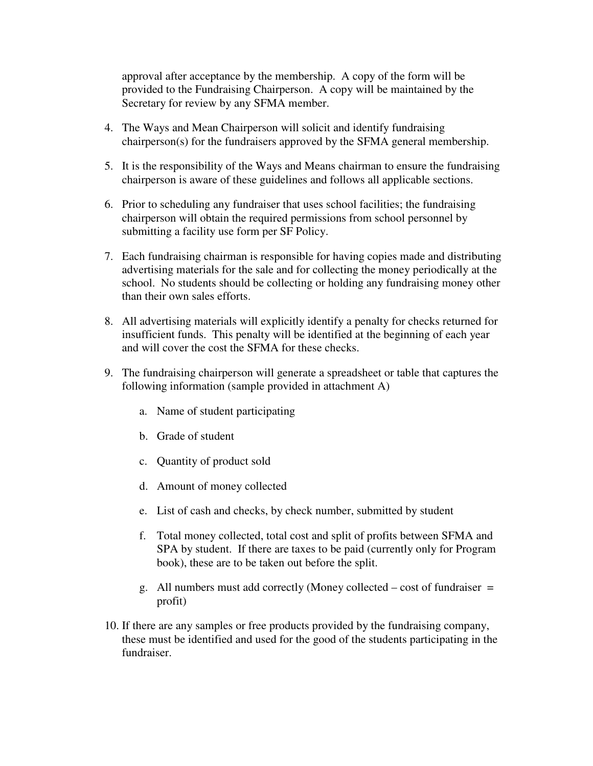approval after acceptance by the membership. A copy of the form will be provided to the Fundraising Chairperson. A copy will be maintained by the Secretary for review by any SFMA member.

- 4. The Ways and Mean Chairperson will solicit and identify fundraising chairperson(s) for the fundraisers approved by the SFMA general membership.
- 5. It is the responsibility of the Ways and Means chairman to ensure the fundraising chairperson is aware of these guidelines and follows all applicable sections.
- 6. Prior to scheduling any fundraiser that uses school facilities; the fundraising chairperson will obtain the required permissions from school personnel by submitting a facility use form per SF Policy.
- 7. Each fundraising chairman is responsible for having copies made and distributing advertising materials for the sale and for collecting the money periodically at the school. No students should be collecting or holding any fundraising money other than their own sales efforts.
- 8. All advertising materials will explicitly identify a penalty for checks returned for insufficient funds. This penalty will be identified at the beginning of each year and will cover the cost the SFMA for these checks.
- 9. The fundraising chairperson will generate a spreadsheet or table that captures the following information (sample provided in attachment A)
	- a. Name of student participating
	- b. Grade of student
	- c. Quantity of product sold
	- d. Amount of money collected
	- e. List of cash and checks, by check number, submitted by student
	- f. Total money collected, total cost and split of profits between SFMA and SPA by student. If there are taxes to be paid (currently only for Program book), these are to be taken out before the split.
	- g. All numbers must add correctly (Money collected cost of fundraiser = profit)
- 10. If there are any samples or free products provided by the fundraising company, these must be identified and used for the good of the students participating in the fundraiser.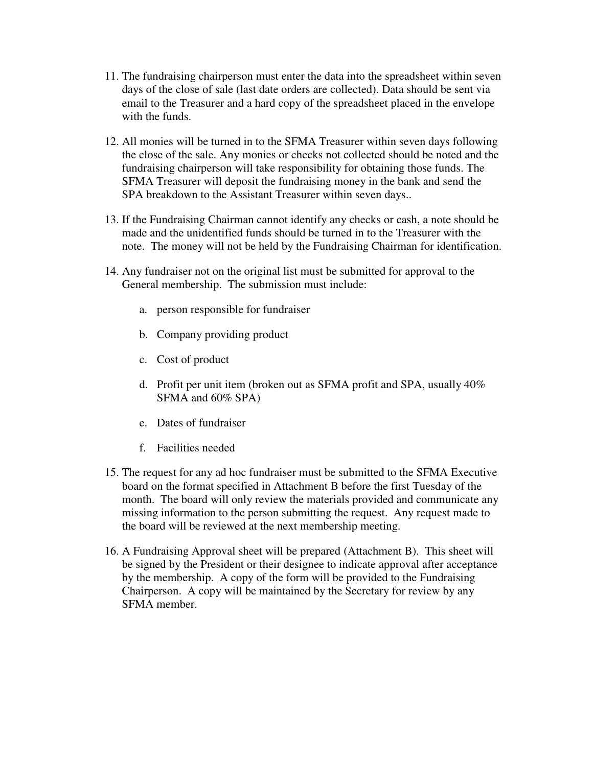- 11. The fundraising chairperson must enter the data into the spreadsheet within seven days of the close of sale (last date orders are collected). Data should be sent via email to the Treasurer and a hard copy of the spreadsheet placed in the envelope with the funds.
- 12. All monies will be turned in to the SFMA Treasurer within seven days following the close of the sale. Any monies or checks not collected should be noted and the fundraising chairperson will take responsibility for obtaining those funds. The SFMA Treasurer will deposit the fundraising money in the bank and send the SPA breakdown to the Assistant Treasurer within seven days..
- 13. If the Fundraising Chairman cannot identify any checks or cash, a note should be made and the unidentified funds should be turned in to the Treasurer with the note. The money will not be held by the Fundraising Chairman for identification.
- 14. Any fundraiser not on the original list must be submitted for approval to the General membership. The submission must include:
	- a. person responsible for fundraiser
	- b. Company providing product
	- c. Cost of product
	- d. Profit per unit item (broken out as SFMA profit and SPA, usually 40% SFMA and 60% SPA)
	- e. Dates of fundraiser
	- f. Facilities needed
- 15. The request for any ad hoc fundraiser must be submitted to the SFMA Executive board on the format specified in Attachment B before the first Tuesday of the month. The board will only review the materials provided and communicate any missing information to the person submitting the request. Any request made to the board will be reviewed at the next membership meeting.
- 16. A Fundraising Approval sheet will be prepared (Attachment B). This sheet will be signed by the President or their designee to indicate approval after acceptance by the membership. A copy of the form will be provided to the Fundraising Chairperson. A copy will be maintained by the Secretary for review by any SFMA member.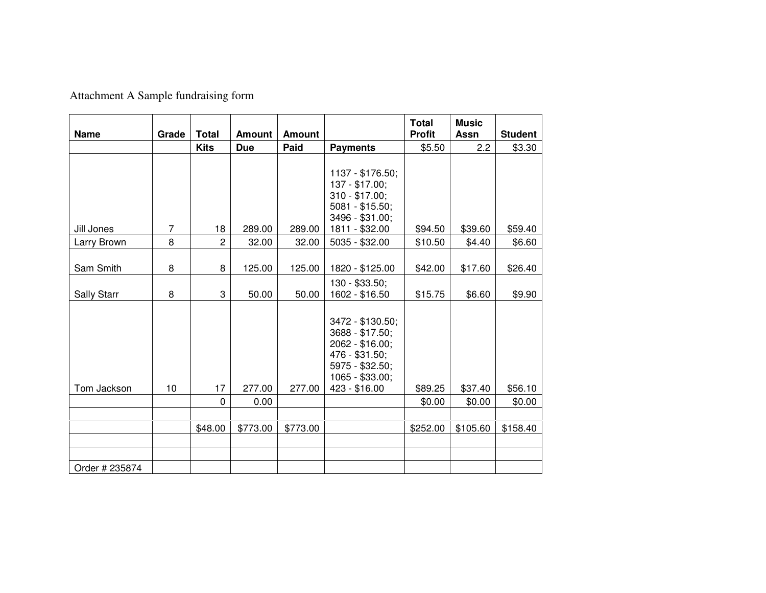| <b>Name</b>    | Grade          | <b>Total</b>   | Amount     | <b>Amount</b> |                                                                                                                | <b>Total</b><br><b>Profit</b> | <b>Music</b><br>Assn | <b>Student</b> |
|----------------|----------------|----------------|------------|---------------|----------------------------------------------------------------------------------------------------------------|-------------------------------|----------------------|----------------|
|                |                | <b>Kits</b>    | <b>Due</b> | Paid          | <b>Payments</b>                                                                                                | \$5.50                        | 2.2                  | \$3.30         |
|                |                |                |            |               | 1137 - \$176.50;<br>137 - \$17.00;<br>$310 - $17.00;$<br>$5081 - $15.50$ ;<br>3496 - \$31.00;                  |                               |                      |                |
| Jill Jones     | $\overline{7}$ | 18             | 289.00     | 289.00        | 1811 - \$32.00                                                                                                 | \$94.50                       | \$39.60              | \$59.40        |
| Larry Brown    | 8              | $\overline{2}$ | 32.00      | 32.00         | 5035 - \$32.00                                                                                                 | \$10.50                       | \$4.40               | \$6.60         |
| Sam Smith      | 8              | 8              | 125.00     | 125.00        | 1820 - \$125.00                                                                                                | \$42.00                       | \$17.60              | \$26.40        |
| Sally Starr    | 8              | 3              | 50.00      | 50.00         | 130 - \$33.50;<br>1602 - \$16.50                                                                               | \$15.75                       | \$6.60               | \$9.90         |
|                |                |                |            |               | 3472 - \$130.50;<br>3688 - \$17.50;<br>2062 - \$16.00;<br>476 - \$31.50;<br>5975 - \$32.50;<br>1065 - \$33.00; |                               |                      |                |
| Tom Jackson    | 10             | 17             | 277.00     | 277.00        | 423 - \$16.00                                                                                                  | \$89.25                       | \$37.40              | \$56.10        |
|                |                | $\Omega$       | 0.00       |               |                                                                                                                | \$0.00                        | \$0.00               | \$0.00         |
|                |                | \$48.00        | \$773.00   | \$773.00      |                                                                                                                | \$252.00                      | \$105.60             | \$158.40       |
| Order # 235874 |                |                |            |               |                                                                                                                |                               |                      |                |

Attachment A Sample fundraising form